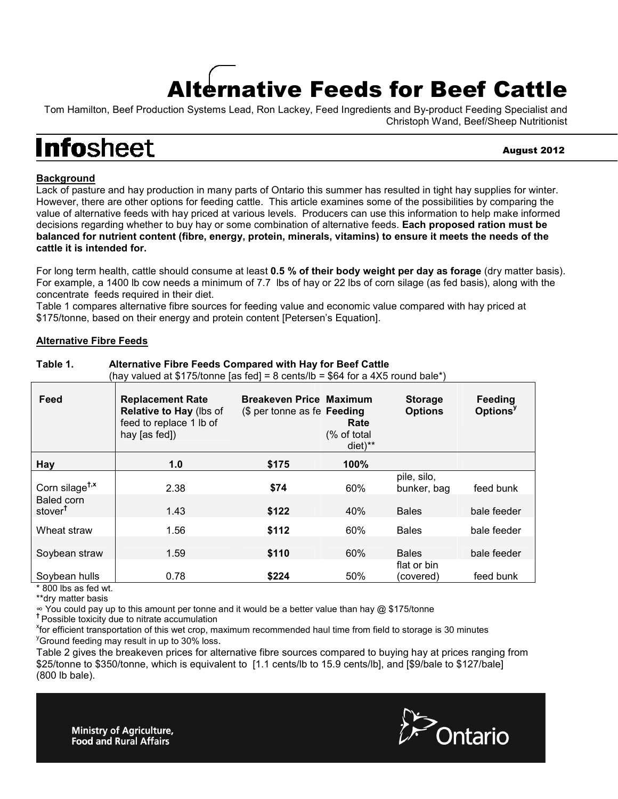# Alternative Feeds for Beef Cattle

Tom Hamilton, Beef Production Systems Lead, Ron Lackey, Feed Ingredients and By-product Feeding Specialist and Christoph Wand, Beef/Sheep Nutritionist

## **Infosheet**

August 2012

### **Background**

Lack of pasture and hay production in many parts of Ontario this summer has resulted in tight hay supplies for winter. However, there are other options for feeding cattle. This article examines some of the possibilities by comparing the value of alternative feeds with hay priced at various levels. Producers can use this information to help make informed decisions regarding whether to buy hay or some combination of alternative feeds. **Each proposed ration must be balanced for nutrient content (fibre, energy, protein, minerals, vitamins) to ensure it meets the needs of the cattle it is intended for.** 

For long term health, cattle should consume at least **0.5 % of their body weight per day as forage** (dry matter basis). For example, a 1400 lb cow needs a minimum of 7.7 lbs of hay or 22 lbs of corn silage (as fed basis), along with the concentrate feeds required in their diet.

Table 1 compares alternative fibre sources for feeding value and economic value compared with hay priced at \$175/tonne, based on their energy and protein content [Petersen's Equation].

#### **Alternative Fibre Feeds**

|                                   | $\frac{1}{100}$ valued at $\psi$ if orthing [as feu] – 0 cents/10 – $\psi$ 0 – 101 a – XV found bale |                                                               |                                             |                                  |                                 |
|-----------------------------------|------------------------------------------------------------------------------------------------------|---------------------------------------------------------------|---------------------------------------------|----------------------------------|---------------------------------|
| Feed                              | <b>Replacement Rate</b><br>Relative to Hay (lbs of<br>feed to replace 1 lb of<br>hay [as fed])       | <b>Breakeven Price Maximum</b><br>(\$ per tonne as fe Feeding | Rate<br>(% of total<br>$diet$ <sup>**</sup> | <b>Storage</b><br><b>Options</b> | Feeding<br>Options <sup>y</sup> |
| Hay                               | 1.0                                                                                                  | \$175                                                         | 100%                                        |                                  |                                 |
| Corn silage <sup>t,x</sup>        | 2.38                                                                                                 | \$74                                                          | 60%                                         | pile, silo,<br>bunker, bag       | feed bunk                       |
| Baled corn<br>stover <sup>t</sup> | 1.43                                                                                                 | \$122                                                         | 40%                                         | <b>Bales</b>                     | bale feeder                     |
| Wheat straw                       | 1.56                                                                                                 | \$112                                                         | 60%                                         | <b>Bales</b>                     | bale feeder                     |
| Soybean straw                     | 1.59                                                                                                 | \$110                                                         | 60%                                         | <b>Bales</b>                     | bale feeder                     |
| Soybean hulls                     | 0.78                                                                                                 | \$224                                                         | 50%                                         | flat or bin<br>(covered)         | feed bunk                       |

**Table 1. Alternative Fibre Feeds Compared with Hay for Beef Cattle**  (hay valued at \$175/tonne [as fed] = 8 cents/lb = \$64 for a 4X5 round bale\*)

 $*$  800 lbs as fed wt.

\*\*dry matter basis

∞ You could pay up to this amount per tonne and it would be a better value than hay @ \$175/tonne

**†** Possible toxicity due to nitrate accumulation

x for efficient transportation of this wet crop, maximum recommended haul time from field to storage is 30 minutes <sup>y</sup>Ground feeding may result in up to 30% loss.

Table 2 gives the breakeven prices for alternative fibre sources compared to buying hay at prices ranging from \$25/tonne to \$350/tonne, which is equivalent to [1.1 cents/lb to 15.9 cents/lb], and [\$9/bale to \$127/bale] (800 lb bale).



**Ministry of Agriculture, Food and Rural Affairs**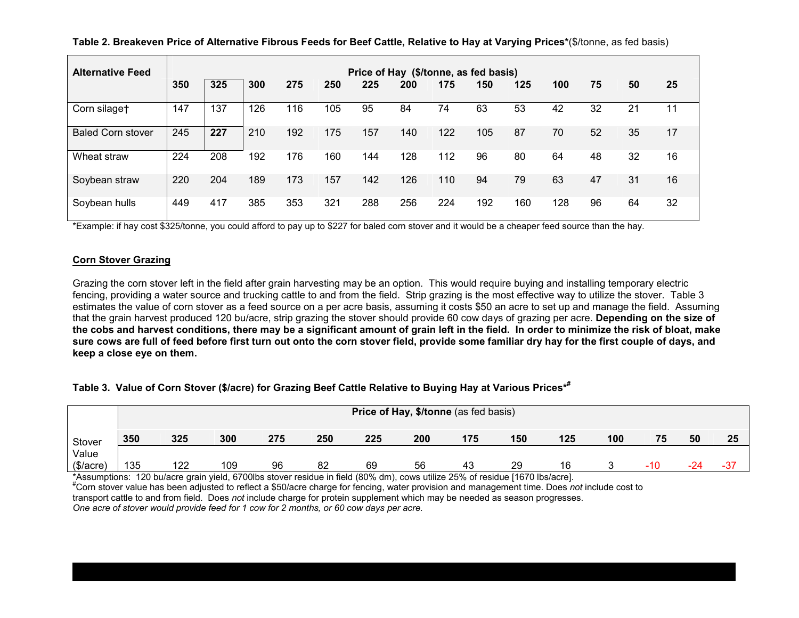**Table 2. Breakeven Price of Alternative Fibrous Feeds for Beef Cattle, Relative to Hay at Varying Prices\***(\$/tonne, as fed basis)

| <b>Alternative Feed</b>  |     | Price of Hay (\$/tonne, as fed basis) |     |     |     |     |     |     |     |     |     |    |    |    |
|--------------------------|-----|---------------------------------------|-----|-----|-----|-----|-----|-----|-----|-----|-----|----|----|----|
|                          | 350 | 325                                   | 300 | 275 | 250 | 225 | 200 | 175 | 150 | 125 | 100 | 75 | 50 | 25 |
| Corn silaget             | 147 | 137                                   | 126 | 116 | 105 | 95  | 84  | 74  | 63  | 53  | 42  | 32 | 21 | 11 |
| <b>Baled Corn stover</b> | 245 | 227                                   | 210 | 192 | 175 | 157 | 140 | 122 | 105 | 87  | 70  | 52 | 35 | 17 |
| Wheat straw              | 224 | 208                                   | 192 | 176 | 160 | 144 | 128 | 112 | 96  | 80  | 64  | 48 | 32 | 16 |
| Soybean straw            | 220 | 204                                   | 189 | 173 | 157 | 142 | 126 | 110 | 94  | 79  | 63  | 47 | 31 | 16 |
| Soybean hulls            | 449 | 417                                   | 385 | 353 | 321 | 288 | 256 | 224 | 192 | 160 | 128 | 96 | 64 | 32 |

\*Example: if hay cost \$325/tonne, you could afford to pay up to \$227 for baled corn stover and it would be a cheaper feed source than the hay.

#### **Corn Stover Grazing**

Grazing the corn stover left in the field after grain harvesting may be an option. This would require buying and installing temporary electric fencing, providing a water source and trucking cattle to and from the field. Strip grazing is the most effective way to utilize the stover. Table 3 estimates the value of corn stover as a feed source on a per acre basis, assuming it costs \$50 an acre to set up and manage the field. Assuming that the grain harvest produced 120 bu/acre, strip grazing the stover should provide 60 cow days of grazing per acre. **Depending on the size of the cobs and harvest conditions, there may be a significant amount of grain left in the field. In order to minimize the risk of bloat, make sure cows are full of feed before first turn out onto the corn stover field, provide some familiar dry hay for the first couple of days, and keep a close eye on them.** 

#### **Table 3. Value of Corn Stover (\$/acre) for Grazing Beef Cattle Relative to Buying Hay at Various Prices\*#**

|                    | Price of Hay, \$/tonne (as fed basis) |     |     |     |     |     |     |     |     |     |     |       |     |       |
|--------------------|---------------------------------------|-----|-----|-----|-----|-----|-----|-----|-----|-----|-----|-------|-----|-------|
| Stover             | 350                                   | 325 | 300 | 275 | 250 | 225 | 200 | 175 | 150 | 125 | 100 | 75    | 50  | 25    |
| Value<br>(\$/acre) | 135                                   | 122 | 109 | 96  | 82  | 69  | 56  | 43  | 29  | 16  |     | $-10$ | -24 | $-37$ |

\*Assumptions: 120 bu/acre grain yield, 6700lbs stover residue in field (80% dm), cows utilize 25% of residue [1670 lbs/acre]. "Corn stover value has been adjusted to reflect a \$50/acre charge for fencing, water provision and management time. Does not include cost to transport cattle to and from field. Does *not* include charge for protein supplement which may be needed as season progresses. *One acre of stover would provide feed for 1 cow for 2 months, or 60 cow days per acre.*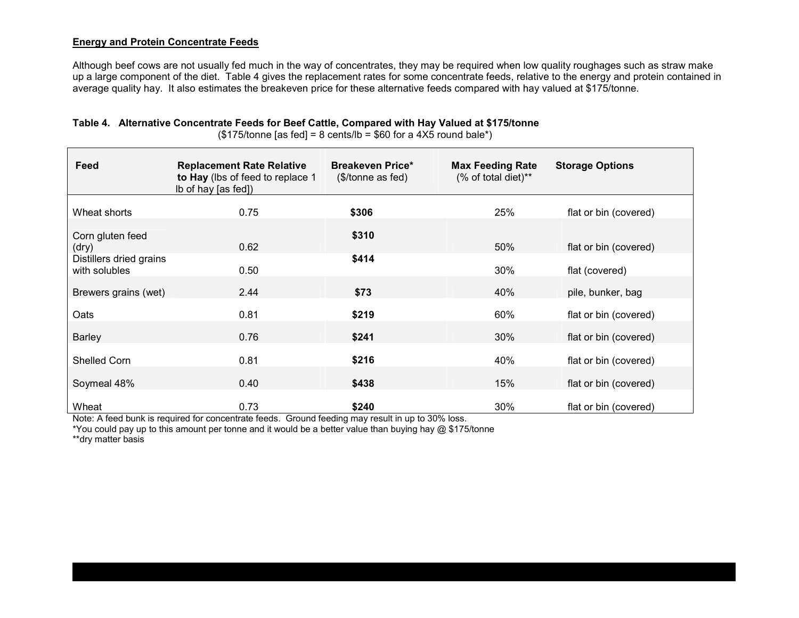#### **Energy and Protein Concentrate Feeds**

Although beef cows are not usually fed much in the way of concentrates, they may be required when low quality roughages such as straw make up a large component of the diet. Table 4 gives the replacement rates for some concentrate feeds, relative to the energy and protein contained in average quality hay. It also estimates the breakeven price for these alternative feeds compared with hay valued at \$175/tonne.

| Feed                                     | <b>Replacement Rate Relative</b><br>to Hay (lbs of feed to replace 1<br>Ib of hay [as fed]) | <b>Breakeven Price*</b><br>$($/tonne$ as fed) | <b>Max Feeding Rate</b><br>(% of total diet)** | <b>Storage Options</b> |  |  |
|------------------------------------------|---------------------------------------------------------------------------------------------|-----------------------------------------------|------------------------------------------------|------------------------|--|--|
| Wheat shorts                             | 0.75                                                                                        | \$306                                         | 25%                                            | flat or bin (covered)  |  |  |
| Corn gluten feed<br>(dry)                | 0.62                                                                                        | \$310                                         | 50%                                            | flat or bin (covered)  |  |  |
| Distillers dried grains<br>with solubles | 0.50                                                                                        | \$414                                         | 30%                                            | flat (covered)         |  |  |
| Brewers grains (wet)                     | 2.44                                                                                        | \$73                                          | 40%                                            | pile, bunker, bag      |  |  |
| Oats                                     | 0.81                                                                                        | \$219                                         | 60%                                            | flat or bin (covered)  |  |  |
| <b>Barley</b>                            | 0.76                                                                                        | \$241                                         | 30%                                            | flat or bin (covered)  |  |  |
| Shelled Corn                             | 0.81                                                                                        | \$216                                         | 40%                                            | flat or bin (covered)  |  |  |
| Soymeal 48%                              | 0.40                                                                                        | \$438                                         | 15%                                            | flat or bin (covered)  |  |  |
| Wheat                                    | 0.73                                                                                        | \$240                                         | 30%                                            | flat or bin (covered)  |  |  |

**Table 4. Alternative Concentrate Feeds for Beef Cattle, Compared with Hay Valued at \$175/tonne** 

 $($175/tonne$  [as fed] = 8 cents/lb = \$60 for a 4X5 round bale\*)

Note: A feed bunk is required for concentrate feeds. Ground feeding may result in up to 30% loss.

\*You could pay up to this amount per tonne and it would be a better value than buying hay @ \$175/tonne

\*\*dry matter basis